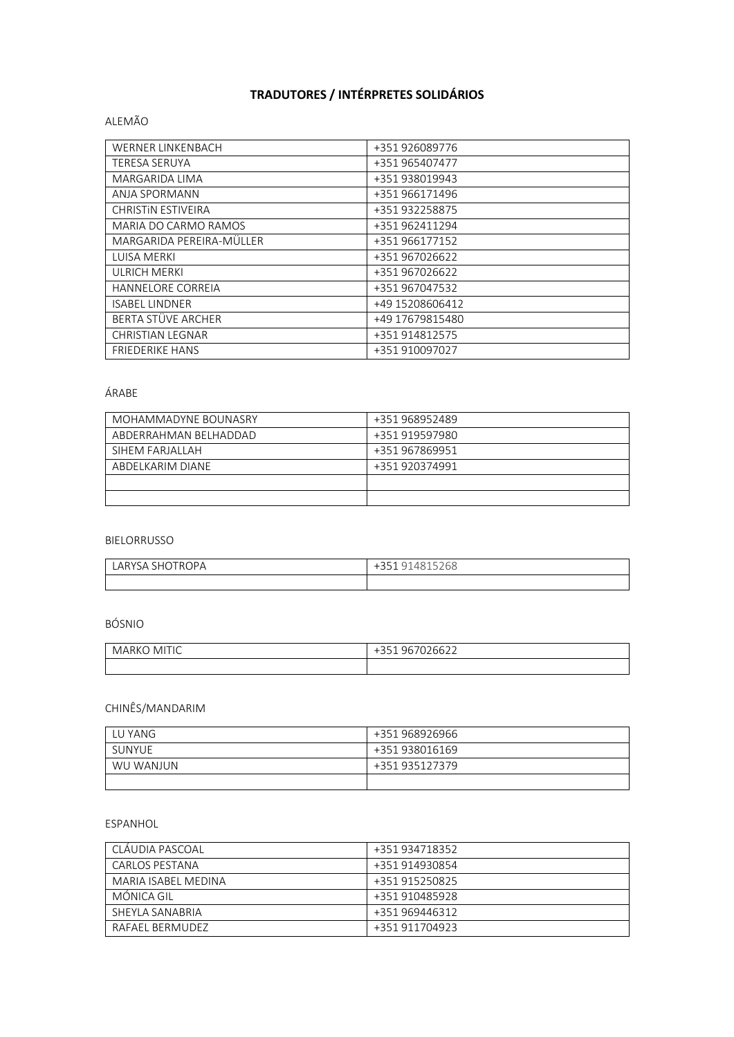# **TRADUTORES / INTÉRPRETES SOLIDÁRIOS**

#### ALEMÃO

| <b>WERNER LINKENBACH</b>  | +351 926089776  |
|---------------------------|-----------------|
| <b>TERESA SERUYA</b>      | +351 965407477  |
| <b>MARGARIDA LIMA</b>     | +351 938019943  |
| ANJA SPORMANN             | +351 966171496  |
| <b>CHRISTIN ESTIVEIRA</b> | +351 932258875  |
| MARIA DO CARMO RAMOS      | +351 962411294  |
| MARGARIDA PEREIRA-MÜLLER  | +351 966177152  |
| LUISA MERKI               | +351 967026622  |
| <b>ULRICH MERKI</b>       | +351 967026622  |
| <b>HANNELORE CORREIA</b>  | +351 967047532  |
| <b>ISABEL LINDNER</b>     | +49 15208606412 |
| BERTA STÜVE ARCHER        | +49 17679815480 |
| <b>CHRISTIAN LEGNAR</b>   | +351 914812575  |
| <b>FRIEDERIKE HANS</b>    | +351 910097027  |

## ÁRABE

| MOHAMMADYNE BOUNASRY   | +351 968952489 |
|------------------------|----------------|
| ABDERRAHMAN BEI HADDAD | +351 919597980 |
| SIHEM FARIALI AH       | +351 967869951 |
| ABDELKARIM DIANE       | +351 920374991 |
|                        |                |
|                        |                |

#### BIELORRUSSO

| LARYSA SHOTROPA | 268<br>.251<br>4815<br>-35.1<br>◡ |
|-----------------|-----------------------------------|
|                 |                                   |

# BÓSNIO

| $\ddot{\phantom{0}}$<br>MI<br>-lC<br>1 N I | $\cap$<br>∵bb∠∠<br>ີ |
|--------------------------------------------|----------------------|
|                                            |                      |

## CHINÊS/MANDARIM

| LU YANG   | +351 968926966 |
|-----------|----------------|
| SUNYUE    | +351 938016169 |
| WU WANJUN | +351 935127379 |
|           |                |

#### ESPANHOL

| CLÁUDIA PASCOAL     | +351 934718352 |
|---------------------|----------------|
| CARLOS PESTANA      | +351 914930854 |
| MARIA ISABEL MEDINA | +351 915250825 |
| MONICA GIL          | +351 910485928 |
| SHEYLA SANABRIA     | +351 969446312 |
| RAFAFI BERMUDEZ     | +351 911704923 |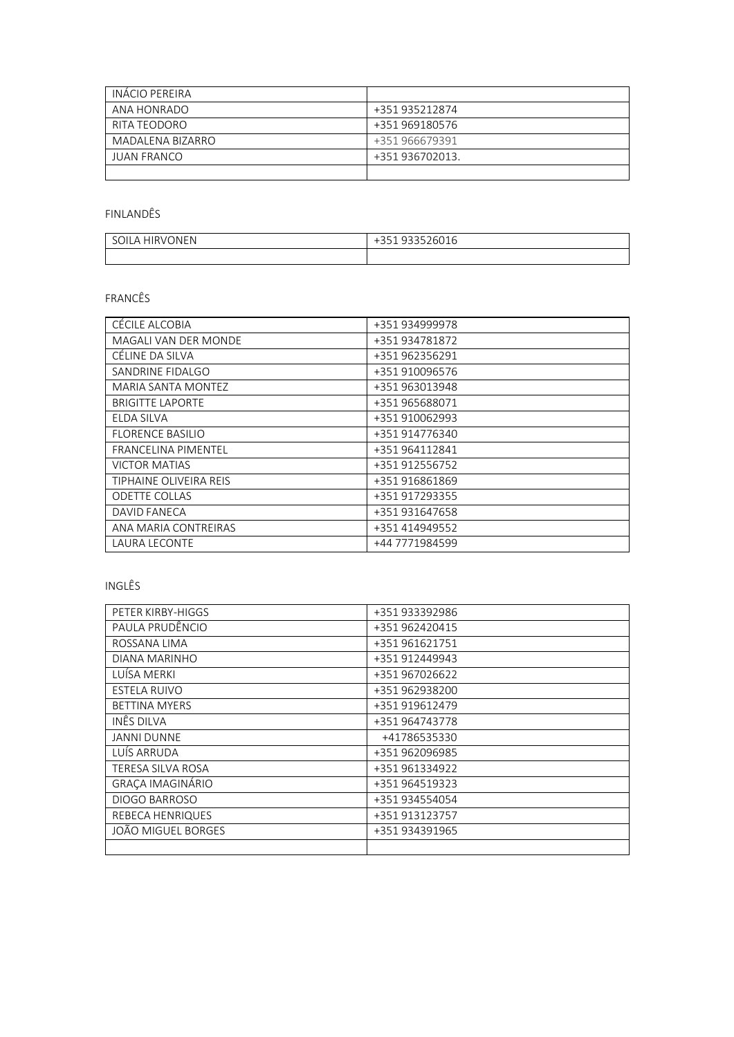| INÁCIO PEREIRA   |                 |
|------------------|-----------------|
| ANA HONRADO      | +351 935212874  |
| RITA TEODORO     | +351 969180576  |
| MADALENA BIZARRO | +351 966679391  |
| JUAN FRANCO      | +351 936702013. |
|                  |                 |

FINLANDÊS

| <b>ONFN</b> | $\bigcap_{n=1}^{\infty} \bigcap_{n=1}^{\infty} \bigcap_{n=1}^{\infty} \bigcap_{n=1}^{\infty} \bigcap_{n=1}^{\infty} \bigcap_{n=1}^{\infty} \bigcap_{n=1}^{\infty} \bigcap_{n=1}^{\infty} \bigcap_{n=1}^{\infty} \bigcap_{n=1}^{\infty} \bigcap_{n=1}^{\infty} \bigcap_{n=1}^{\infty} \bigcap_{n=1}^{\infty} \bigcap_{n=1}^{\infty} \bigcap_{n=1}^{\infty} \bigcap_{n=1}^{\infty} \bigcap_{n=1}^{\infty$ |
|-------------|---------------------------------------------------------------------------------------------------------------------------------------------------------------------------------------------------------------------------------------------------------------------------------------------------------------------------------------------------------------------------------------------------------|
| JILA        | ノトロ                                                                                                                                                                                                                                                                                                                                                                                                     |
| HIRVI       | $\overline{\phantom{0}}$                                                                                                                                                                                                                                                                                                                                                                                |
| $\sim$      | ⊤பப⊥                                                                                                                                                                                                                                                                                                                                                                                                    |
|             |                                                                                                                                                                                                                                                                                                                                                                                                         |

FRANCÊS

| CÉCILE ALCOBIA             | +351 934999978 |
|----------------------------|----------------|
| MAGALI VAN DER MONDE       | +351 934781872 |
| CÉLINE DA SILVA            | +351 962356291 |
| SANDRINE FIDALGO           | +351 910096576 |
| MARIA SANTA MONTEZ         | +351 963013948 |
| <b>BRIGITTE LAPORTE</b>    | +351 965688071 |
| ELDA SILVA                 | +351 910062993 |
| FLORENCE BASILIO           | +351 914776340 |
| <b>FRANCELINA PIMENTEL</b> | +351 964112841 |
| <b>VICTOR MATIAS</b>       | +351 912556752 |
| TIPHAINE OLIVEIRA REIS     | +351 916861869 |
| <b>ODETTE COLLAS</b>       | +351 917293355 |
| DAVID FANECA               | +351 931647658 |
| ANA MARIA CONTREIRAS       | +351 414949552 |
| LAURA LECONTE              | +44 7771984599 |
|                            |                |

INGLÊS

| PETER KIRBY-HIGGS       | +351 933392986 |
|-------------------------|----------------|
| PAULA PRUDÊNCIO         | +351 962420415 |
| ROSSANA LIMA            | +351 961621751 |
| DIANA MARINHO           | +351 912449943 |
| LUÍSA MERKI             | +351 967026622 |
| ESTELA RUIVO            | +351 962938200 |
| <b>BETTINA MYERS</b>    | +351 919612479 |
| INÊS DILVA              | +351 964743778 |
| <b>JANNI DUNNE</b>      | +41786535330   |
| LUÍS ARRUDA             | +351 962096985 |
| TERESA SILVA ROSA       | +351 961334922 |
| GRAÇA IMAGINÁRIO        | +351 964519323 |
| <b>DIOGO BARROSO</b>    | +351 934554054 |
| <b>REBECA HENRIQUES</b> | +351 913123757 |
| JOÃO MIGUEL BORGES      | +351 934391965 |
|                         |                |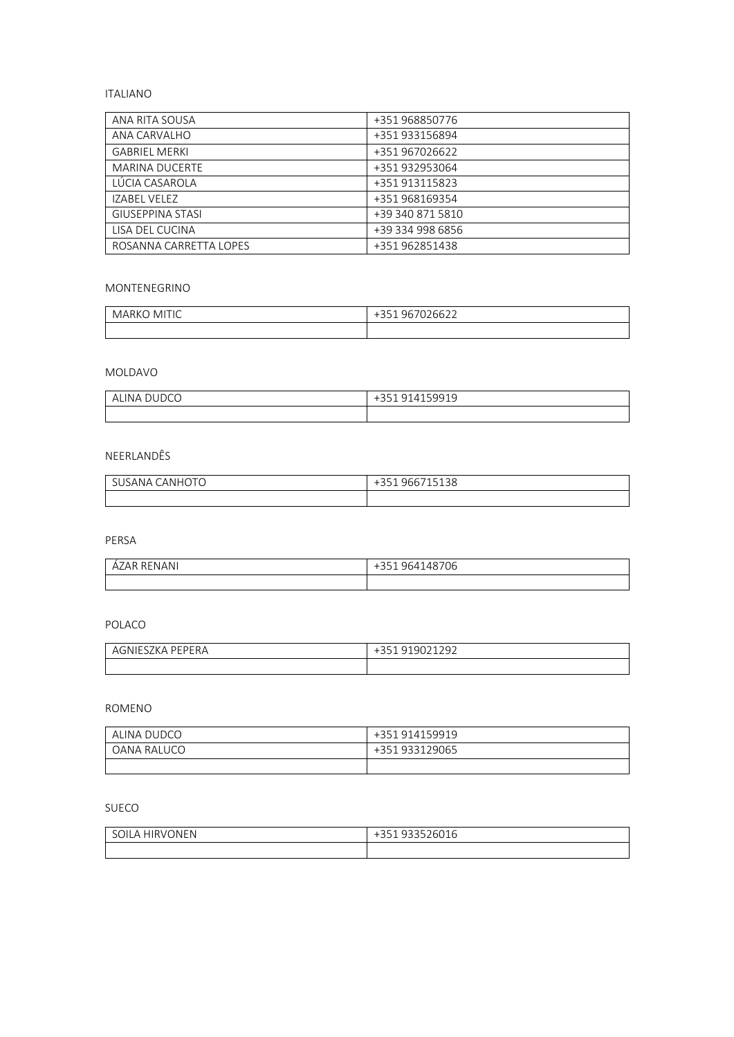## ITALIANO

| ANA RITA SOUSA          | +351 968850776   |
|-------------------------|------------------|
| ANA CARVALHO            | +351 933156894   |
| <b>GABRIEL MERKI</b>    | +351 967026622   |
| <b>MARINA DUCERTE</b>   | +351 932953064   |
| LÚCIA CASAROLA          | +351 913115823   |
| IZABEL VELEZ            | +351 968169354   |
| <b>GIUSEPPINA STASI</b> | +39 340 871 5810 |
| LISA DEL CUCINA         | +39 334 998 6856 |
| ROSANNA CARRETTA LOPES  | +351 962851438   |

#### MONTENEGRINO

| ΓΙΓ<br>-MI<br>۸Л.<br>IARKO<br>⋯<br><b>v</b> 17 | 967026622<br>'nh.<br>- J J T<br>- - - - |
|------------------------------------------------|-----------------------------------------|
|                                                |                                         |

# MOLDAVO

| $\sim$<br>IN A<br>$\cup$ | 159919<br>∽<br>$\mu$<br>$\overline{\phantom{0}}$<br>Ē<br>ر ر<br>_ _ _ |
|--------------------------|-----------------------------------------------------------------------|
|                          |                                                                       |

## NEERLANDÊS

| <b>CANHOT</b><br>، ANA د<br>U | CCT1F120<br>466 /<br>5<br>138<br>∽<br>$\overline{\phantom{a}}$ |
|-------------------------------|----------------------------------------------------------------|
|                               |                                                                |

PERSA

| RENANI | $\sim$ |
|--------|--------|
| AR     | Ub     |
| AZ.    | ر ر    |
|        |        |
|        |        |

## POLACO

| √NH⊹<br>$\prime\prime$<br>$\sqrt{ }$ | $\sim$ $\sim$<br>ີ<br>. پ |
|--------------------------------------|---------------------------|
|                                      |                           |

ROMENO

| ALINA DUDCO | +351 914159919 |
|-------------|----------------|
| OANA RALUCO | +351 933129065 |
|             |                |

#### SUECO

| <b>HIRVONEN</b><br>II A<br>٦L | 022500000<br>26016<br>$-1$<br>∽<br>⊥رر∵<br>- |
|-------------------------------|----------------------------------------------|
|                               |                                              |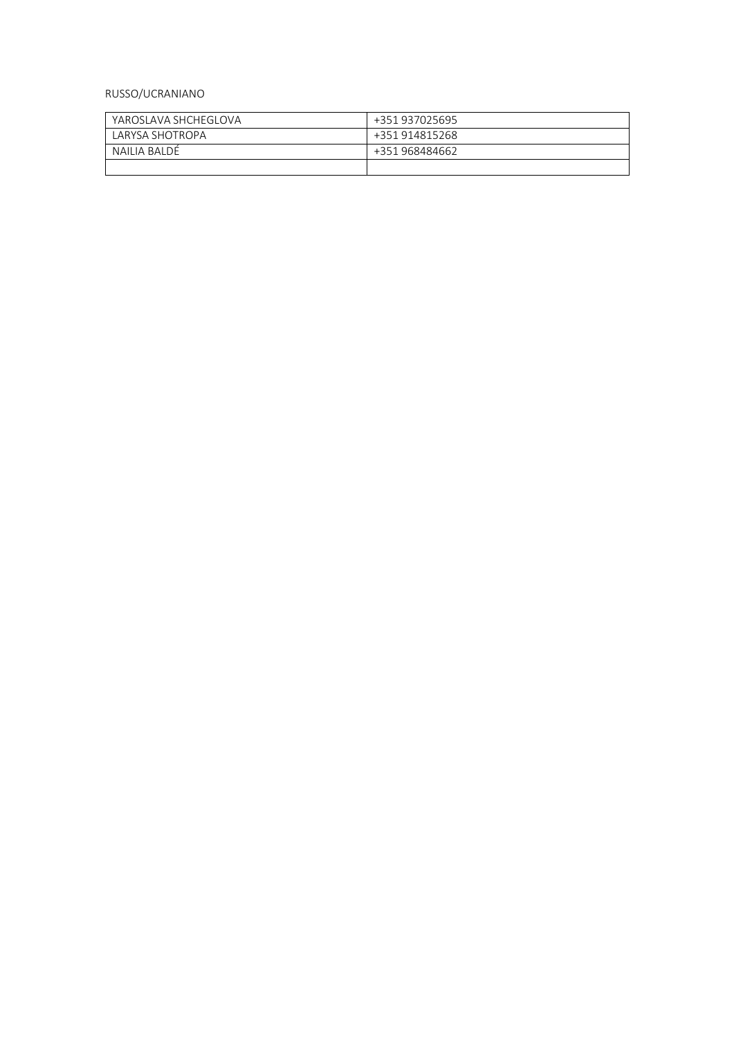## RUSSO/UCRANIANO

| YAROSI AVA SHCHEGI OVA | +351 937025695 |
|------------------------|----------------|
| LARYSA SHOTROPA        | +351 914815268 |
| NAILIA BALDÉ           | +351 968484662 |
|                        |                |